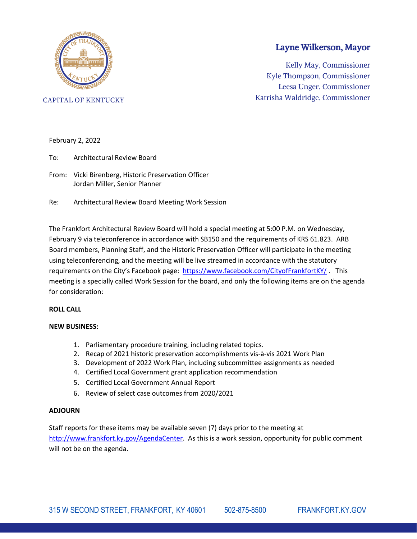

Layne Wilkerson, Mayor

Kelly May, Commissioner Kyle Thompson, Commissioner Leesa Unger, Commissioner Katrisha Waldridge, Commissioner

**CAPITAL OF KENTUCKY** 

#### February 2, 2022

- To: Architectural Review Board
- From: Vicki Birenberg, Historic Preservation Officer Jordan Miller, Senior Planner
- Re: Architectural Review Board Meeting Work Session

The Frankfort Architectural Review Board will hold a special meeting at 5:00 P.M. on Wednesday, February 9 via teleconference in accordance with SB150 and the requirements of KRS 61.823. ARB Board members, Planning Staff, and the Historic Preservation Officer will participate in the meeting using teleconferencing, and the meeting will be live streamed in accordance with the statutory requirements on the City's Facebook page: <https://www.facebook.com/CityofFrankfortKY/> . This meeting is a specially called Work Session for the board, and only the following items are on the agenda for consideration:

#### **ROLL CALL**

#### **NEW BUSINESS:**

- 1. Parliamentary procedure training, including related topics.
- 2. Recap of 2021 historic preservation accomplishments vis-à-vis 2021 Work Plan
- 3. Development of 2022 Work Plan, including subcommittee assignments as needed
- 4. Certified Local Government grant application recommendation
- 5. Certified Local Government Annual Report
- 6. Review of select case outcomes from 2020/2021

#### **ADJOURN**

Staff reports for these items may be available seven (7) days prior to the meeting at [http://www.frankfort.ky.gov/AgendaCenter.](http://www.frankfort.ky.gov/AgendaCenter) As this is a work session, opportunity for public comment will not be on the agenda.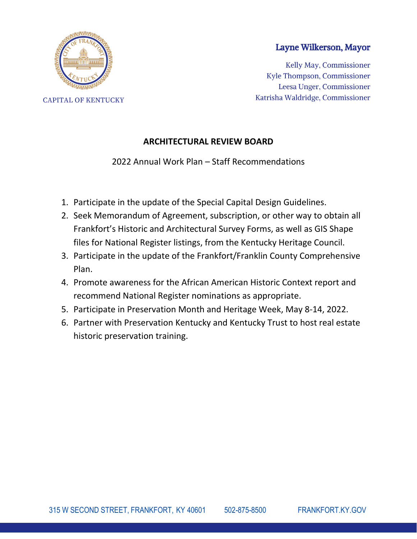

**CAPITAL OF KENTUCKY** 

### Layne Wilkerson, Mayor

Kelly May, Commissioner Kyle Thompson, Commissioner Leesa Unger, Commissioner Katrisha Waldridge, Commissioner

## **ARCHITECTURAL REVIEW BOARD**

2022 Annual Work Plan – Staff Recommendations

- 1. Participate in the update of the Special Capital Design Guidelines.
- 2. Seek Memorandum of Agreement, subscription, or other way to obtain all Frankfort's Historic and Architectural Survey Forms, as well as GIS Shape files for National Register listings, from the Kentucky Heritage Council.
- 3. Participate in the update of the Frankfort/Franklin County Comprehensive Plan.
- 4. Promote awareness for the African American Historic Context report and recommend National Register nominations as appropriate.
- 5. Participate in Preservation Month and Heritage Week, May 8-14, 2022.
- 6. Partner with Preservation Kentucky and Kentucky Trust to host real estate historic preservation training.